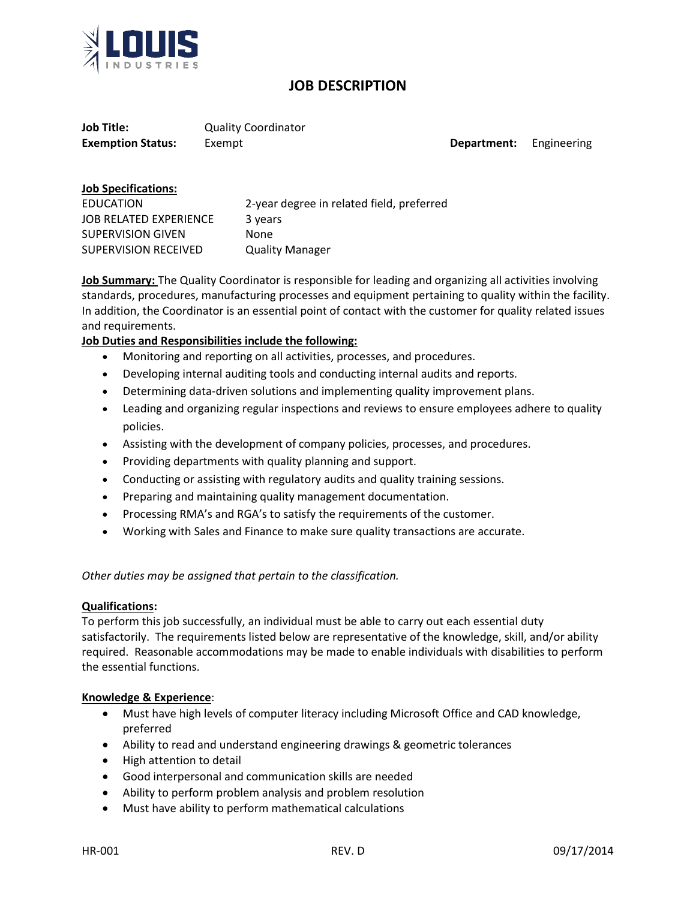

# **JOB DESCRIPTION**

**Job Title:** Quality Coordinator **Exemption Status:** Exempt **Department:** Engineering

| <b>Job Specifications:</b>    |                                           |
|-------------------------------|-------------------------------------------|
| EDUCATION                     | 2-year degree in related field, preferred |
| <b>JOB RELATED EXPERIENCE</b> | 3 years                                   |
| <b>SUPERVISION GIVEN</b>      | <b>None</b>                               |
| SUPERVISION RECEIVED          | <b>Quality Manager</b>                    |

**Job Summary:** The Quality Coordinator is responsible for leading and organizing all activities involving standards, procedures, manufacturing processes and equipment pertaining to quality within the facility. In addition, the Coordinator is an essential point of contact with the customer for quality related issues and requirements.

### **Job Duties and Responsibilities include the following:**

- Monitoring and reporting on all activities, processes, and procedures.
- Developing internal auditing tools and conducting internal audits and reports.
- Determining data-driven solutions and implementing quality improvement plans.
- Leading and organizing regular inspections and reviews to ensure employees adhere to quality policies.
- Assisting with the development of company policies, processes, and procedures.
- Providing departments with quality planning and support.
- Conducting or assisting with regulatory audits and quality training sessions.
- Preparing and maintaining quality management documentation.
- Processing RMA's and RGA's to satisfy the requirements of the customer.
- Working with Sales and Finance to make sure quality transactions are accurate.

*Other duties may be assigned that pertain to the classification.* 

### **Qualifications:**

To perform this job successfully, an individual must be able to carry out each essential duty satisfactorily. The requirements listed below are representative of the knowledge, skill, and/or ability required. Reasonable accommodations may be made to enable individuals with disabilities to perform the essential functions.

### **Knowledge & Experience**:

- Must have high levels of computer literacy including Microsoft Office and CAD knowledge, preferred
- Ability to read and understand engineering drawings & geometric tolerances
- High attention to detail
- Good interpersonal and communication skills are needed
- Ability to perform problem analysis and problem resolution
- Must have ability to perform mathematical calculations